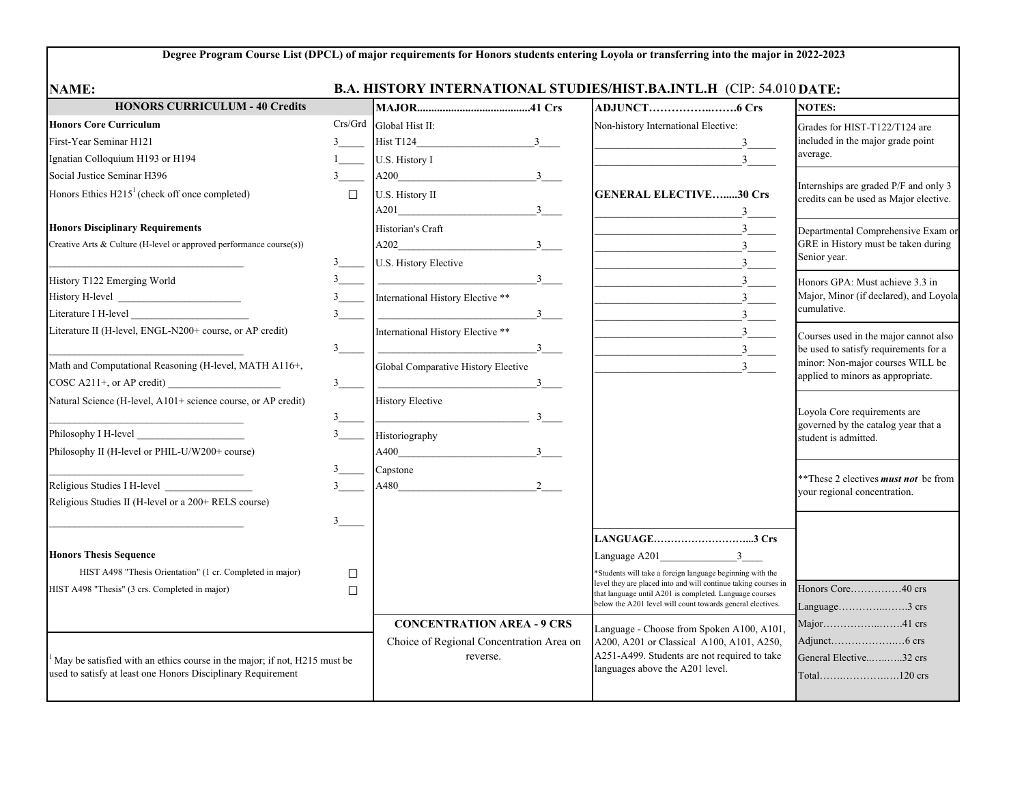## **Degree Program Course List (DPCL) of major requirements for Honors students entering Loyola or transferring into the major in 2022-2023**

| <b>NAME:</b>                                                                                                                              |                     | <b>B.A. HISTORY INTERNATIONAL STUDIES/HIST.BA.INTL.H (CIP: 54.010 DATE:</b>           |                                                                                                                                          |                                                                                                                                                         |
|-------------------------------------------------------------------------------------------------------------------------------------------|---------------------|---------------------------------------------------------------------------------------|------------------------------------------------------------------------------------------------------------------------------------------|---------------------------------------------------------------------------------------------------------------------------------------------------------|
| <b>HONORS CURRICULUM - 40 Credits</b>                                                                                                     |                     |                                                                                       |                                                                                                                                          | <b>NOTES:</b>                                                                                                                                           |
| <b>Honors Core Curriculum</b>                                                                                                             | Crs/Grd             | Global Hist II:                                                                       | Non-history International Elective:                                                                                                      | Grades for HIST-T122/T124 are<br>included in the major grade point<br>average.                                                                          |
| First-Year Seminar H121                                                                                                                   | $3^{\circ}$         | Hist T124<br>3                                                                        | 3                                                                                                                                        |                                                                                                                                                         |
| Ignatian Colloquium H193 or H194                                                                                                          |                     | U.S. History I                                                                        | $\overline{3}$                                                                                                                           |                                                                                                                                                         |
| Social Justice Seminar H396                                                                                                               | $3^{\circ}$         | $A200$ $3$                                                                            |                                                                                                                                          |                                                                                                                                                         |
| Honors Ethics H215 <sup>1</sup> (check off once completed)                                                                                | $\Box$              | U.S. History II                                                                       | <b>GENERAL ELECTIVE30 Crs</b>                                                                                                            | Internships are graded P/F and only 3<br>credits can be used as Major elective.                                                                         |
|                                                                                                                                           |                     | A201<br>3                                                                             |                                                                                                                                          |                                                                                                                                                         |
| <b>Honors Disciplinary Requirements</b>                                                                                                   |                     | Historian's Craft                                                                     | $\overline{\mathbf{3}}$                                                                                                                  | Departmental Comprehensive Exam or                                                                                                                      |
| Creative Arts & Culture (H-level or approved performance course(s))                                                                       |                     | $A202$ $3$ $3$                                                                        | $3 \underline{\ }$                                                                                                                       | GRE in History must be taken during<br>Senior year.                                                                                                     |
|                                                                                                                                           |                     | U.S. History Elective                                                                 | $\overline{3}$                                                                                                                           |                                                                                                                                                         |
| History T122 Emerging World                                                                                                               |                     | $\frac{3}{2}$                                                                         | 3 <sup>1</sup>                                                                                                                           | Honors GPA: Must achieve 3.3 in<br>Major, Minor (if declared), and Loyola<br>cumulative.                                                                |
|                                                                                                                                           | 3                   | International History Elective **                                                     | $\overline{3}$                                                                                                                           |                                                                                                                                                         |
|                                                                                                                                           | $3$ <sub>____</sub> |                                                                                       | $\overline{3}$<br><u> 1990 - Johann Barbara, martin a</u>                                                                                |                                                                                                                                                         |
| Literature II (H-level, ENGL-N200+ course, or AP credit)                                                                                  |                     | International History Elective **                                                     | $3 \quad \qquad$                                                                                                                         | Courses used in the major cannot also<br>be used to satisfy requirements for a<br>minor: Non-major courses WILL be<br>applied to minors as appropriate. |
|                                                                                                                                           | $3$ <sub>——</sub>   | $\overline{\phantom{a}3\phantom{a}}$                                                  | $3 \quad \qquad$<br><u> 1980 - Johann Barn, mars ar breithinn ar breithinn ar breithinn ar breithinn ar breithinn ar breithinn ar br</u> |                                                                                                                                                         |
| Math and Computational Reasoning (H-level, MATH A116+,                                                                                    |                     | Global Comparative History Elective                                                   | $\overline{3}$                                                                                                                           |                                                                                                                                                         |
|                                                                                                                                           | 3                   | $3^{\circ}$                                                                           |                                                                                                                                          |                                                                                                                                                         |
| Natural Science (H-level, A101+ science course, or AP credit)                                                                             |                     | History Elective                                                                      |                                                                                                                                          | Loyola Core requirements are<br>governed by the catalog year that a<br>student is admitted.                                                             |
|                                                                                                                                           | $3$ <sub>____</sub> |                                                                                       |                                                                                                                                          |                                                                                                                                                         |
|                                                                                                                                           | $3^{\circ}$         | Historiography                                                                        |                                                                                                                                          |                                                                                                                                                         |
| Philosophy II (H-level or PHIL-U/W200+ course)                                                                                            |                     | $A400$ $3$                                                                            |                                                                                                                                          |                                                                                                                                                         |
|                                                                                                                                           | $3^{\circ}$         | Capstone                                                                              |                                                                                                                                          | **These 2 electives <i>must not</i> be from                                                                                                             |
| Religious Studies I H-level _________________                                                                                             |                     | $A480$ 2                                                                              |                                                                                                                                          | your regional concentration.                                                                                                                            |
| Religious Studies II (H-level or a 200+ RELS course)                                                                                      |                     |                                                                                       |                                                                                                                                          |                                                                                                                                                         |
|                                                                                                                                           | 3                   |                                                                                       |                                                                                                                                          |                                                                                                                                                         |
|                                                                                                                                           |                     |                                                                                       | LANGUAGE3 Crs                                                                                                                            |                                                                                                                                                         |
| <b>Honors Thesis Sequence</b>                                                                                                             |                     |                                                                                       | Language A201 3                                                                                                                          |                                                                                                                                                         |
| HIST A498 "Thesis Orientation" (1 cr. Completed in major)                                                                                 | $\Box$              |                                                                                       | *Students will take a foreign language beginning with the<br>level they are placed into and will continue taking courses in              |                                                                                                                                                         |
| HIST A498 "Thesis" (3 crs. Completed in major)                                                                                            | $\Box$              | that language until A201 is completed. Language courses                               | Honors Core40 crs                                                                                                                        |                                                                                                                                                         |
|                                                                                                                                           |                     |                                                                                       | below the A201 level will count towards general electives.                                                                               | Language3 $\text{crs}$                                                                                                                                  |
|                                                                                                                                           |                     | <b>CONCENTRATION AREA - 9 CRS</b>                                                     | Language - Choose from Spoken A100, A101,                                                                                                | Major41 crs                                                                                                                                             |
|                                                                                                                                           |                     | Choice of Regional Concentration Area on<br>A200, A201 or Classical A100, A101, A250, |                                                                                                                                          |                                                                                                                                                         |
| May be satisfied with an ethics course in the major; if not, H215 must be<br>used to satisfy at least one Honors Disciplinary Requirement |                     | reverse.                                                                              | A251-A499. Students are not required to take<br>languages above the A201 level.                                                          | General Elective32 crs                                                                                                                                  |
|                                                                                                                                           |                     |                                                                                       |                                                                                                                                          | Total120 crs                                                                                                                                            |